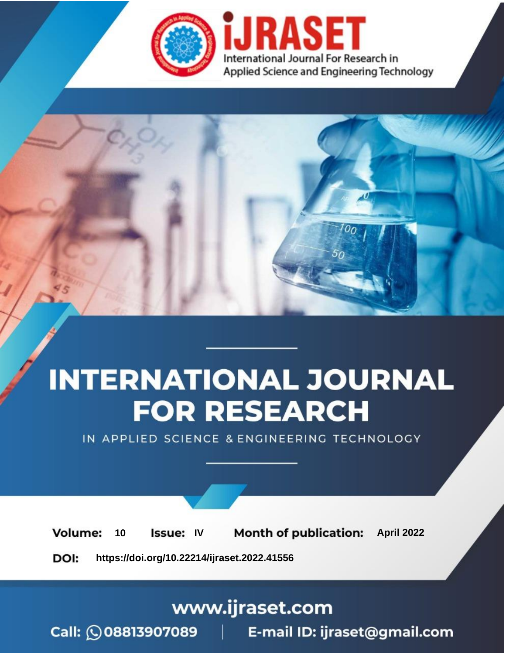

# **INTERNATIONAL JOURNAL FOR RESEARCH**

IN APPLIED SCIENCE & ENGINEERING TECHNOLOGY

10 **Issue: IV Month of publication:** April 2022 **Volume:** 

**https://doi.org/10.22214/ijraset.2022.41556**DOI:

www.ijraset.com

Call: 008813907089 | E-mail ID: ijraset@gmail.com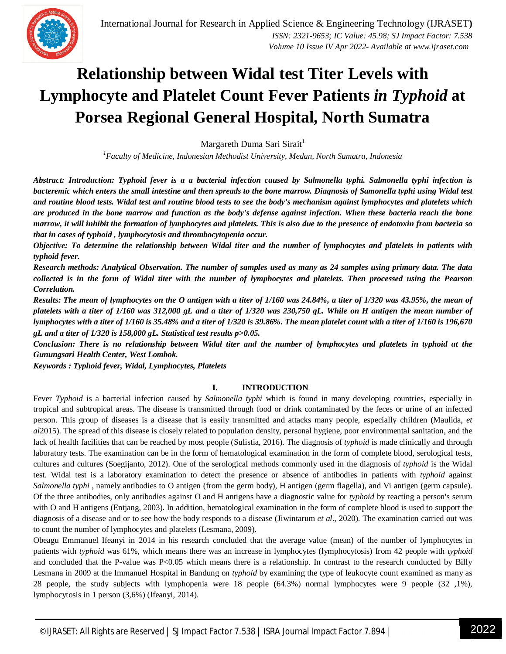### **Relationship between Widal test Titer Levels with Lymphocyte and Platelet Count Fever Patients** *in Typhoid* **at Porsea Regional General Hospital, North Sumatra**

Margareth Duma Sari Sirait<sup>1</sup>

*<sup>1</sup>Faculty of Medicine, Indonesian Methodist University, Medan, North Sumatra, Indonesia*

*Abstract: Introduction: Typhoid fever is a a bacterial infection caused by Salmonella typhi. Salmonella typhi infection is bacteremic which enters the small intestine and then spreads to the bone marrow. Diagnosis of Samonella typhi using Widal test and routine blood tests. Widal test and routine blood tests to see the body's mechanism against lymphocytes and platelets which are produced in the bone marrow and function as the body's defense against infection. When these bacteria reach the bone marrow, it will inhibit the formation of lymphocytes and platelets. This is also due to the presence of endotoxin from bacteria so that in cases of typhoid , lymphocytosis and thrombocytopenia occur.* 

*Objective: To determine the relationship between Widal titer and the number of lymphocytes and platelets in patients with typhoid fever.* 

*Research methods: Analytical Observation. The number of samples used as many as 24 samples using primary data. The data collected is in the form of Widal titer with the number of lymphocytes and platelets. Then processed using the Pearson Correlation.* 

*Results: The mean of lymphocytes on the O antigen with a titer of 1/160 was 24.84%, a titer of 1/320 was 43.95%, the mean of platelets with a titer of 1/160 was 312,000 gL and a titer of 1/320 was 230,750 gL. While on H antigen the mean number of lymphocytes with a titer of 1/160 is 35.48% and a titer of 1/320 is 39.86%. The mean platelet count with a titer of 1/160 is 196,670 gL and a titer of 1/320 is 158,000 gL. Statistical test results p>0.05.* 

*Conclusion: There is no relationship between Widal titer and the number of lymphocytes and platelets in typhoid at the Gunungsari Health Center, West Lombok.*

*Keywords : Typhoid fever, Widal, Lymphocytes, Platelets*

#### **I. INTRODUCTION**

Fever *Typhoid* is a bacterial infection caused by *Salmonella typhi* which is found in many developing countries, especially in tropical and subtropical areas. The disease is transmitted through food or drink contaminated by the feces or urine of an infected person. This group of diseases is a disease that is easily transmitted and attacks many people, especially children (Maulida, *et al*2015). The spread of this disease is closely related to population density, personal hygiene, poor environmental sanitation, and the lack of health facilities that can be reached by most people (Sulistia, 2016). The diagnosis of *typhoid* is made clinically and through laboratory tests. The examination can be in the form of hematological examination in the form of complete blood, serological tests, cultures and cultures (Soegijanto, 2012). One of the serological methods commonly used in the diagnosis of *typhoid* is the Widal test. Widal test is a laboratory examination to detect the presence or absence of antibodies in patients with *typhoid* against *Salmonella typhi* , namely antibodies to O antigen (from the germ body), H antigen (germ flagella), and Vi antigen (germ capsule). Of the three antibodies, only antibodies against O and H antigens have a diagnostic value for *typhoid* by reacting a person's serum with O and H antigens (Entjang, 2003). In addition, hematological examination in the form of complete blood is used to support the diagnosis of a disease and or to see how the body responds to a disease (Jiwintarum *et al*., 2020). The examination carried out was to count the number of lymphocytes and platelets (Lesmana, 2009).

Obeagu Emmanuel Ifeanyi in 2014 in his research concluded that the average value (mean) of the number of lymphocytes in patients with *typhoid* was 61%, which means there was an increase in lymphocytes (lymphocytosis) from 42 people with *typhoid* and concluded that the P-value was P<0.05 which means there is a relationship. In contrast to the research conducted by Billy Lesmana in 2009 at the Immanuel Hospital in Bandung on *typhoid* by examining the type of leukocyte count examined as many as 28 people, the study subjects with lymphopenia were 18 people (64.3%) normal lymphocytes were 9 people (32 ,1%), lymphocytosis in 1 person (3,6%) (Ifeanyi, 2014).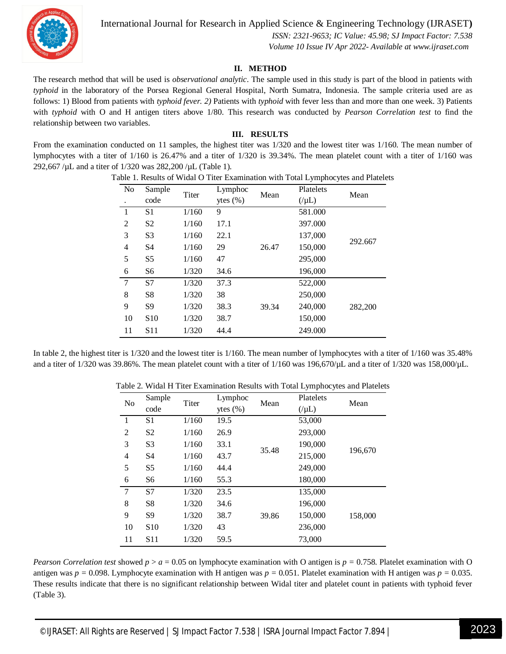

International Journal for Research in Applied Science & Engineering Technology (IJRASET**)**

 *ISSN: 2321-9653; IC Value: 45.98; SJ Impact Factor: 7.538 Volume 10 Issue IV Apr 2022- Available at www.ijraset.com*

#### **II. METHOD**

The research method that will be used is *observational analytic*. The sample used in this study is part of the blood in patients with *typhoid* in the laboratory of the Porsea Regional General Hospital, North Sumatra, Indonesia. The sample criteria used are as follows: 1) Blood from patients with *typhoid fever. 2)* Patients with *typhoid* with fever less than and more than one week. 3) Patients with *typhoid* with O and H antigen titers above 1/80. This research was conducted by *Pearson Correlation test* to find the relationship between two variables.

#### **III. RESULTS**

From the examination conducted on 11 samples, the highest titer was 1/320 and the lowest titer was 1/160. The mean number of lymphocytes with a titer of 1/160 is 26.47% and a titer of 1/320 is 39.34%. The mean platelet count with a titer of 1/160 was 292,667 /µL and a titer of 1/320 was 282,200 /µL (Table 1).

| N <sub>0</sub> | Sample<br>code  | Titer | Lymphoc<br>ytes $(\% )$ | Mean  | Platelets<br>$(\mu L)$ | Mean    |
|----------------|-----------------|-------|-------------------------|-------|------------------------|---------|
| 1              | S <sub>1</sub>  | 1/160 | 9                       |       | 581.000                |         |
| $\overline{2}$ | S <sub>2</sub>  | 1/160 | 17.1                    |       | 397.000                |         |
| 3              | S <sub>3</sub>  | 1/160 | 22.1                    |       | 137,000                |         |
| 4              | S <sub>4</sub>  | 1/160 | 29                      | 26.47 | 150,000                | 292.667 |
| 5              | S <sub>5</sub>  | 1/160 | 47                      |       | 295,000                |         |
| 6              | S6              | 1/320 | 34.6                    |       | 196,000                |         |
| 7              | S7              | 1/320 | 37.3                    |       | 522,000                |         |
| 8              | S <sub>8</sub>  | 1/320 | 38                      |       | 250,000                |         |
| 9              | S <sub>9</sub>  | 1/320 | 38.3                    | 39.34 | 240,000                | 282,200 |
| 10             | S <sub>10</sub> | 1/320 | 38.7                    |       | 150,000                |         |
| 11             | S <sub>11</sub> | 1/320 | 44.4                    |       | 249.000                |         |

Table 1. Results of Widal O Titer Examination with Total Lymphocytes and Platelets

In table 2, the highest titer is 1/320 and the lowest titer is 1/160. The mean number of lymphocytes with a titer of 1/160 was 35.48% and a titer of  $1/320$  was 39.86%. The mean platelet count with a titer of  $1/160$  was  $196,670/\mu L$  and a titer of  $1/320$  was  $158,000/\mu L$ .

| N <sub>o</sub> | Sample          | Titer | Lymphoc      | Mean  | Platelets | Mean    |
|----------------|-----------------|-------|--------------|-------|-----------|---------|
|                | code            |       | ytes $(\% )$ |       | $(\mu L)$ |         |
| $\mathbf{1}$   | S <sub>1</sub>  | 1/160 | 19.5         | 35.48 | 53,000    | 196,670 |
| $\overline{2}$ | S <sub>2</sub>  | 1/160 | 26.9         |       | 293,000   |         |
| 3              | S <sub>3</sub>  | 1/160 | 33.1         |       | 190,000   |         |
| $\overline{4}$ | S <sub>4</sub>  | 1/160 | 43.7         |       | 215,000   |         |
| 5              | S <sub>5</sub>  | 1/160 | 44.4         |       | 249,000   |         |
| 6              | S <sub>6</sub>  | 1/160 | 55.3         |       | 180,000   |         |
| 7              | S7              | 1/320 | 23.5         |       | 135,000   |         |
| 8              | S <sub>8</sub>  | 1/320 | 34.6         |       | 196,000   |         |
| 9              | S <sub>9</sub>  | 1/320 | 38.7         | 39.86 | 150,000   | 158,000 |
| 10             | S <sub>10</sub> | 1/320 | 43           |       | 236,000   |         |
| 11             | S <sub>11</sub> | 1/320 | 59.5         |       | 73,000    |         |

Table 2. Widal H Titer Examination Results with Total Lymphocytes and Platelets

*Pearson Correlation test* showed  $p > a = 0.05$  on lymphocyte examination with O antigen is  $p = 0.758$ . Platelet examination with O antigen was  $p = 0.098$ . Lymphocyte examination with H antigen was  $p = 0.051$ . Platelet examination with H antigen was  $p = 0.035$ . These results indicate that there is no significant relationship between Widal titer and platelet count in patients with typhoid fever (Table 3).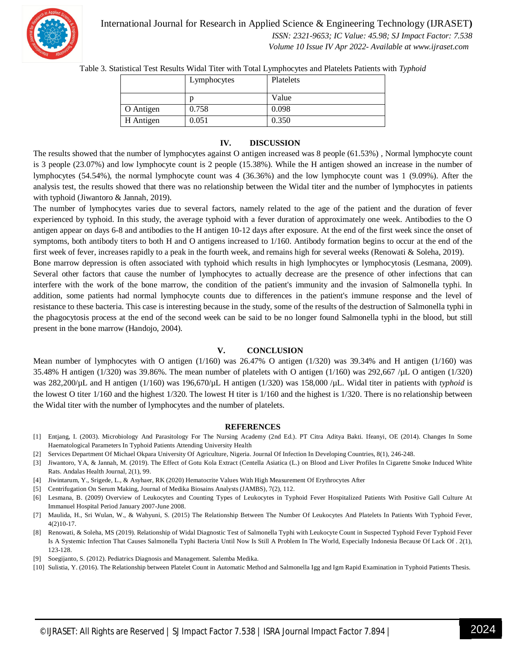

International Journal for Research in Applied Science & Engineering Technology (IJRASET**)**

 *ISSN: 2321-9653; IC Value: 45.98; SJ Impact Factor: 7.538*

 *Volume 10 Issue IV Apr 2022- Available at www.ijraset.com*

Table 3. Statistical Test Results Widal Titer with Total Lymphocytes and Platelets Patients with *Typhoid*

|           | Lymphocytes | Platelets |
|-----------|-------------|-----------|
|           |             | Value     |
| O Antigen | 0.758       | 0.098     |
| H Antigen | 0.051       | 0.350     |

#### **IV. DISCUSSION**

The results showed that the number of lymphocytes against O antigen increased was 8 people (61.53%) , Normal lymphocyte count is 3 people (23.07%) and low lymphocyte count is 2 people (15.38%). While the H antigen showed an increase in the number of lymphocytes (54.54%), the normal lymphocyte count was 4 (36.36%) and the low lymphocyte count was 1 (9.09%). After the analysis test, the results showed that there was no relationship between the Widal titer and the number of lymphocytes in patients with typhoid (Jiwantoro & Jannah, 2019).

The number of lymphocytes varies due to several factors, namely related to the age of the patient and the duration of fever experienced by typhoid. In this study, the average typhoid with a fever duration of approximately one week. Antibodies to the O antigen appear on days 6-8 and antibodies to the H antigen 10-12 days after exposure. At the end of the first week since the onset of symptoms, both antibody titers to both H and O antigens increased to 1/160. Antibody formation begins to occur at the end of the first week of fever, increases rapidly to a peak in the fourth week, and remains high for several weeks (Renowati & Soleha, 2019).

Bone marrow depression is often associated with typhoid which results in high lymphocytes or lymphocytosis (Lesmana, 2009). Several other factors that cause the number of lymphocytes to actually decrease are the presence of other infections that can interfere with the work of the bone marrow, the condition of the patient's immunity and the invasion of Salmonella typhi. In addition, some patients had normal lymphocyte counts due to differences in the patient's immune response and the level of resistance to these bacteria. This case is interesting because in the study, some of the results of the destruction of Salmonella typhi in the phagocytosis process at the end of the second week can be said to be no longer found Salmonella typhi in the blood, but still present in the bone marrow (Handojo, 2004).

#### **V. CONCLUSION**

Mean number of lymphocytes with O antigen (1/160) was 26.47% O antigen (1/320) was 39.34% and H antigen (1/160) was 35.48% H antigen (1/320) was 39.86%. The mean number of platelets with O antigen (1/160) was 292,667 /µL O antigen (1/320) was 282,200/µL and H antigen (1/160) was 196,670/µL H antigen (1/320) was 158,000 /µL. Widal titer in patients with *typhoid* is the lowest O titer 1/160 and the highest 1/320. The lowest H titer is 1/160 and the highest is 1/320. There is no relationship between the Widal titer with the number of lymphocytes and the number of platelets.

#### **REFERENCES**

- [1] Entjang, I. (2003). Microbiology And Parasitology For The Nursing Academy (2nd Ed.). PT Citra Aditya Bakti. Ifeanyi, OE (2014). Changes In Some Haematological Parameters In Typhoid Patients Attending University Health
- [2] Services Department Of Michael Okpara University Of Agriculture, Nigeria. Journal Of Infection In Developing Countries, 8(1), 246-248.
- [3] Jiwantoro, YA, & Jannah, M. (2019). The Effect of Gotu Kola Extract (Centella Asiatica (L.) on Blood and Liver Profiles In Cigarette Smoke Induced White Rats. Andalas Health Journal, 2(1), 99.
- [4] Jiwintarum, Y., Srigede, L., & Asyhaer, RK (2020) Hematocrite Values With High Measurement Of Erythrocytes After
- [5] Centrifugation On Serum Making, Journal of Medika Biosains Analysts (JAMBS), 7(2), 112.
- [6] Lesmana, B. (2009) Overview of Leukocytes and Counting Types of Leukocytes in Typhoid Fever Hospitalized Patients With Positive Gall Culture At Immanuel Hospital Period January 2007-June 2008.
- [7] Maulida, H., Sri Wulan, W., & Wahyuni, S. (2015) The Relationship Between The Number Of Leukocytes And Platelets In Patients With Typhoid Fever, 4(2)10-17.
- [8] Renowati, & Soleha, MS (2019). Relationship of Widal Diagnostic Test of Salmonella Typhi with Leukocyte Count in Suspected Typhoid Fever Typhoid Fever Is A Systemic Infection That Causes Salmonella Typhi Bacteria Until Now Is Still A Problem In The World, Especially Indonesia Because Of Lack Of . 2(1), 123-128.
- [9] Soegijanto, S. (2012). Pediatrics Diagnosis and Management. Salemba Medika.
- [10] Sulistia, Y. (2016). The Relationship between Platelet Count in Automatic Method and Salmonella Igg and Igm Rapid Examination in Typhoid Patients Thesis.